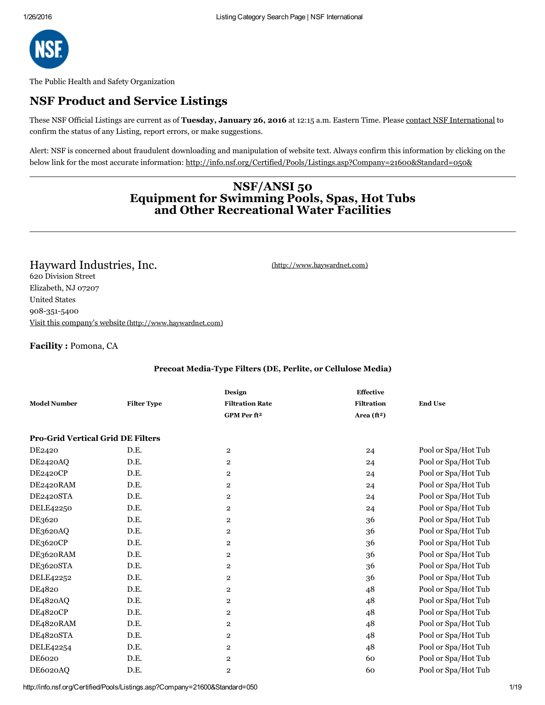

The Public Health and Safety Organization

## NSF Product and Service Listings

These NSF Official Listings are current as of Tuesday, January 26, 2016 at 12:15 a.m. Eastern Time. Please contact NSF [International](mailto:info@nsf.org) to confirm the status of any Listing, report errors, or make suggestions.

Alert: NSF is concerned about fraudulent downloading and manipulation of website text. Always confirm this information by clicking on the below link for the most accurate information: <http://info.nsf.org/Certified/Pools/Listings.asp?Company=21600&Standard=050&>

### NSF/ANSI 50 Equipment for Swimming Pools, Spas, Hot Tubs and Other Recreational Water Facilities

Hayward Industries, Inc. **Example 2018** [\(http://www.haywardnet.com\)](http://www.haywardnet.com/) 620 Division Street Elizabeth, NJ 07207 United States 908-351-5400 Visit this company's website [\(http://www.haywardnet.com\)](http://www.haywardnet.com/)

#### Facility : Pomona, CA

#### Precoat Media-Type Filters (DE, Perlite, or Cellulose Media)

| <b>Model Number</b>                      | <b>Filter Type</b> | Design<br><b>Filtration Rate</b> | <b>Effective</b><br><b>Filtration</b> | <b>End Use</b>      |
|------------------------------------------|--------------------|----------------------------------|---------------------------------------|---------------------|
|                                          |                    | GPM Per ft <sup>2</sup>          | Area $(ft2)$                          |                     |
|                                          |                    |                                  |                                       |                     |
| <b>Pro-Grid Vertical Grid DE Filters</b> |                    |                                  |                                       |                     |
| DE2420                                   | D.E.               | $\overline{\mathbf{2}}$          | 24                                    | Pool or Spa/Hot Tub |
| DE2420AQ                                 | D.E.               | $\overline{\mathbf{2}}$          | 24                                    | Pool or Spa/Hot Tub |
| DE2420CP                                 | D.E.               | $\overline{\mathbf{2}}$          | 24                                    | Pool or Spa/Hot Tub |
| DE2420RAM                                | D.E.               | $\boldsymbol{2}$                 | 24                                    | Pool or Spa/Hot Tub |
| DE2420STA                                | D.E.               | $\overline{\mathbf{2}}$          | 24                                    | Pool or Spa/Hot Tub |
| DELE42250                                | D.E.               | $\overline{\mathbf{2}}$          | 24                                    | Pool or Spa/Hot Tub |
| DE3620                                   | D.E.               | $\overline{\mathbf{2}}$          | 36                                    | Pool or Spa/Hot Tub |
| DE3620AQ                                 | D.E.               | $\overline{\mathbf{2}}$          | 36                                    | Pool or Spa/Hot Tub |
| DE3620CP                                 | D.E.               | $\overline{\mathbf{2}}$          | 36                                    | Pool or Spa/Hot Tub |
| DE3620RAM                                | D.E.               | $\overline{\mathbf{2}}$          | 36                                    | Pool or Spa/Hot Tub |
| DE3620STA                                | D.E.               | 2                                | 36                                    | Pool or Spa/Hot Tub |
| DELE42252                                | D.E.               | 2                                | 36                                    | Pool or Spa/Hot Tub |
| DE4820                                   | D.E.               | 2                                | 48                                    | Pool or Spa/Hot Tub |
| DE4820AQ                                 | D.E.               | $\overline{\mathbf{2}}$          | 48                                    | Pool or Spa/Hot Tub |
| DE4820CP                                 | D.E.               | $\overline{\mathbf{2}}$          | 48                                    | Pool or Spa/Hot Tub |
| DE4820RAM                                | D.E.               | $\overline{2}$                   | 48                                    | Pool or Spa/Hot Tub |
| DE4820STA                                | D.E.               | $\overline{\mathbf{2}}$          | 48                                    | Pool or Spa/Hot Tub |
| DELE42254                                | D.E.               | $\overline{2}$                   | 48                                    | Pool or Spa/Hot Tub |
| DE6020                                   | D.E.               | $\overline{\mathbf{c}}$          | 60                                    | Pool or Spa/Hot Tub |
| DE6020AQ                                 | D.E.               | $\overline{2}$                   | 60                                    | Pool or Spa/Hot Tub |

http://info.nsf.org/Certified/Pools/Listings.asp?Company=21600&Standard=050 1/19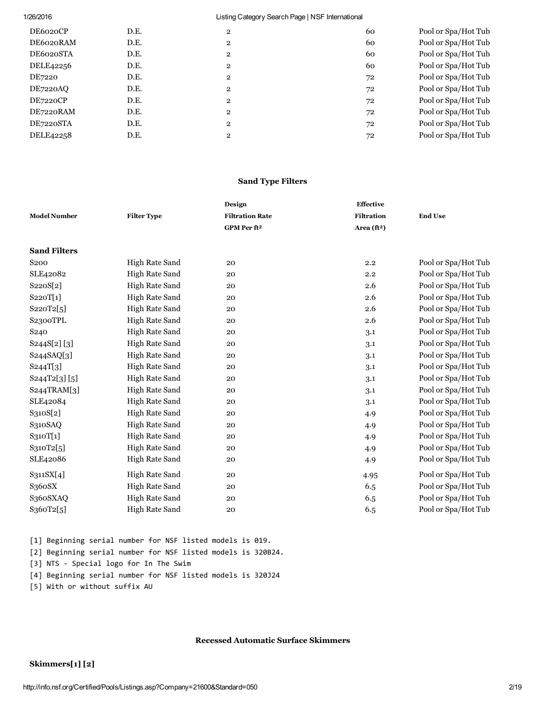| DE6020CP        | D.E. | $\overline{2}$ | 60 | Pool or Spa/Hot Tub |
|-----------------|------|----------------|----|---------------------|
| DE6020RAM       | D.E. | $\overline{2}$ | 60 | Pool or Spa/Hot Tub |
| DE6020STA       | D.E. | $\overline{2}$ | 60 | Pool or Spa/Hot Tub |
| DELE42256       | D.E. | $\overline{2}$ | 60 | Pool or Spa/Hot Tub |
| DE7220          | D.E. | $\overline{2}$ | 72 | Pool or Spa/Hot Tub |
| DE7220AO        | D.E. | $\overline{2}$ | 72 | Pool or Spa/Hot Tub |
| <b>DE7220CP</b> | D.E. | $\overline{2}$ | 72 | Pool or Spa/Hot Tub |
| DE7220RAM       | D.E. | $\overline{2}$ | 72 | Pool or Spa/Hot Tub |
| DE7220STA       | D.E. | $\overline{2}$ | 72 | Pool or Spa/Hot Tub |
| DELE42258       | D.E. | $\overline{2}$ | 72 | Pool or Spa/Hot Tub |
|                 |      |                |    |                     |

#### Sand Type Filters

|                     |                       | Design                  | <b>Effective</b>    |                     |
|---------------------|-----------------------|-------------------------|---------------------|---------------------|
| <b>Model Number</b> | <b>Filter Type</b>    | <b>Filtration Rate</b>  | <b>Filtration</b>   | <b>End Use</b>      |
|                     |                       | GPM Per ft <sup>2</sup> | Area $({\bf f}t^2)$ |                     |
|                     |                       |                         |                     |                     |
| <b>Sand Filters</b> |                       |                         |                     |                     |
| S <sub>200</sub>    | High Rate Sand        | 20                      | 2.2                 | Pool or Spa/Hot Tub |
| SLE42082            | High Rate Sand        | 20                      | 2.2                 | Pool or Spa/Hot Tub |
| S220S[2]            | High Rate Sand        | 20                      | 2.6                 | Pool or Spa/Hot Tub |
| S220T[1]            | High Rate Sand        | 20                      | 2.6                 | Pool or Spa/Hot Tub |
| S220T2[5]           | <b>High Rate Sand</b> | 20                      | 2.6                 | Pool or Spa/Hot Tub |
| S2300TPL            | High Rate Sand        | 20                      | 2.6                 | Pool or Spa/Hot Tub |
| S <sub>240</sub>    | High Rate Sand        | 20                      | 3.1                 | Pool or Spa/Hot Tub |
| S244S[2][3]         | High Rate Sand        | 20                      | 3.1                 | Pool or Spa/Hot Tub |
| S244SAQ[3]          | High Rate Sand        | 20                      | 3.1                 | Pool or Spa/Hot Tub |
| S244T[3]            | High Rate Sand        | 20                      | 3.1                 | Pool or Spa/Hot Tub |
| S244T2[3][5]        | High Rate Sand        | 20                      | 3.1                 | Pool or Spa/Hot Tub |
| S244TRAM[3]         | High Rate Sand        | 20                      | 3.1                 | Pool or Spa/Hot Tub |
| SLE42084            | High Rate Sand        | 20                      | 3.1                 | Pool or Spa/Hot Tub |
| S310S[2]            | High Rate Sand        | 20                      | 4.9                 | Pool or Spa/Hot Tub |
| S310SAQ             | High Rate Sand        | 20                      | 4.9                 | Pool or Spa/Hot Tub |
| S310T[1]            | High Rate Sand        | 20                      | 4.9                 | Pool or Spa/Hot Tub |
| S310T2[5]           | High Rate Sand        | 20                      | 4.9                 | Pool or Spa/Hot Tub |
| SLE42086            | High Rate Sand        | 20                      | 4.9                 | Pool or Spa/Hot Tub |
| S311SX[4]           | High Rate Sand        | 20                      | 4.95                | Pool or Spa/Hot Tub |
| S360SX              | High Rate Sand        | 20                      | 6.5                 | Pool or Spa/Hot Tub |
| S360SXAQ            | High Rate Sand        | 20                      | 6.5                 | Pool or Spa/Hot Tub |
| S360T2[5]           | <b>High Rate Sand</b> | 20                      | 6.5                 | Pool or Spa/Hot Tub |

[1] Beginning serial number for NSF listed models is 019. [2] Beginning serial number for NSF listed models is 320B24. [3] NTS ‐ Special logo for In The Swim [4] Beginning serial number for NSF listed models is 320J24 [5] With or without suffix AU

Recessed Automatic Surface Skimmers

### Skimmers[1] [2]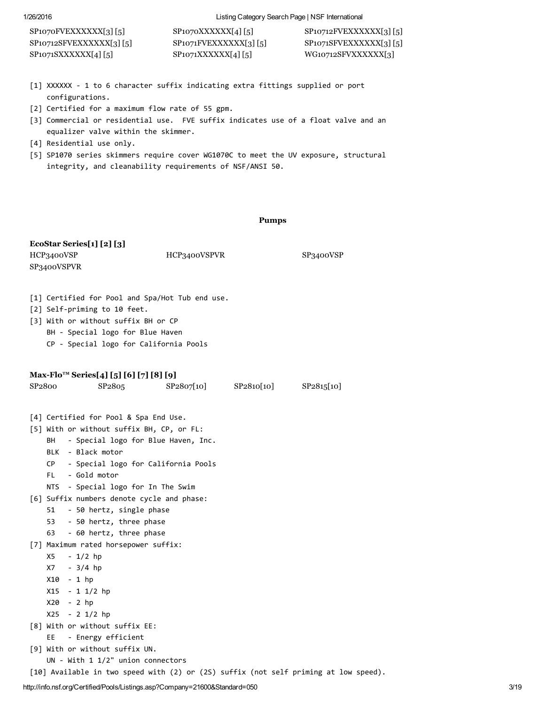| $SP1070$ FVEXXXXXX[3] [5]  | SP1070XXXXXX[4][5]        | $SP10712$ FVEXXXXXX[3][5] |
|----------------------------|---------------------------|---------------------------|
| $SP10712$ SFVEXXXXXX[3][5] | $SP1071$ FVEXXXXXX[3] [5] | $SP1071$ SFVEXXXXXX[3][5] |
| SP1071SXXXXXX[4][5]        | $SP1071XXXXXX$ [4][5]     | WG10712SFVXXXXXXI3]       |

- [1] XXXXXX ‐ 1 to 6 character suffix indicating extra fittings supplied or port configurations.
- [2] Certified for a maximum flow rate of 55 gpm.
- [3] Commercial or residential use. FVE suffix indicates use of a float valve and an equalizer valve within the skimmer.
- [4] Residential use only.
- [5] SP1070 series skimmers require cover WG1070C to meet the UV exposure, structural integrity, and cleanability requirements of NSF/ANSI 50.

Pumps

| EcoStar Series[1] [2] [3]<br>HCP3400VSP<br>SP3400VSPVR                                                                                                                                                                                                                                                                                                                                                              | HCP3400VSPVR |            | SP3400VSP  |
|---------------------------------------------------------------------------------------------------------------------------------------------------------------------------------------------------------------------------------------------------------------------------------------------------------------------------------------------------------------------------------------------------------------------|--------------|------------|------------|
| [1] Certified for Pool and Spa/Hot Tub end use.<br>[2] Self-priming to 10 feet.<br>[3] With or without suffix BH or CP<br>BH - Special logo for Blue Haven<br>CP - Special logo for California Pools                                                                                                                                                                                                                |              |            |            |
| Max-Flo <sup>™</sup> Series[4] [5] [6] [7] [8] [9]<br>SP <sub>2800</sub><br>SP <sub>2805</sub>                                                                                                                                                                                                                                                                                                                      | SP2807[10]   | SP2810[10] | SP2815[10] |
| [4] Certified for Pool & Spa End Use.<br>[5] With or without suffix BH, CP, or FL:<br>BH<br>- Special logo for Blue Haven, Inc.<br>BLK - Black motor<br>- Special logo for California Pools<br>CP -<br>FL.<br>- Gold motor<br>NTS - Special logo for In The Swim<br>[6] Suffix numbers denote cycle and phase:<br>- 50 hertz, single phase<br>51<br>- 50 hertz, three phase<br>53.<br>63<br>- 60 hertz, three phase |              |            |            |
| [7] Maximum rated horsepower suffix:<br>X5<br>- 1/2 hp<br>X7 - 3/4 hp<br>X10 - 1 hp<br>X15 - 1 1/2 hp<br>X20 - 2 hp<br>X25 - 2 1/2 hp<br>[8] With or without suffix EE:<br>EE.<br>- Energy efficient<br>[9] With or without suffix UN.<br>$UN - With 1 1/2" union connections$<br>[10] Available in two speed with (2) or (2S) suffix (not self priming at low speed).                                              |              |            |            |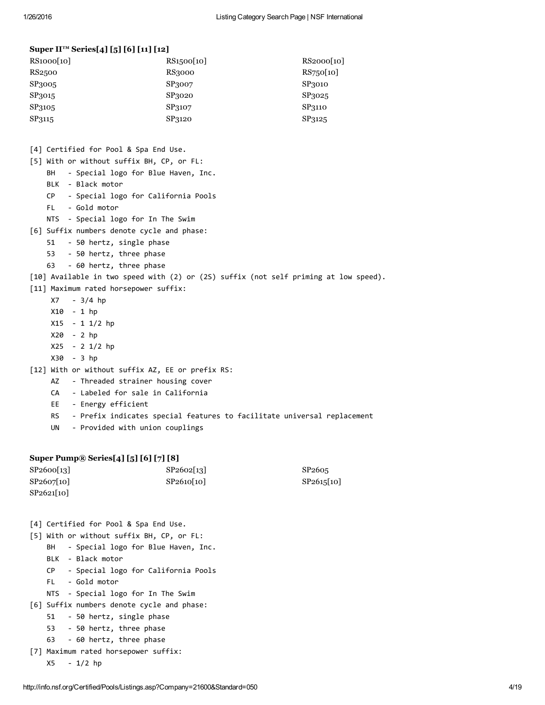#### Super II™ Series[4] [5] [6] [11] [12]

| RS1000[10] | RS1500[10]    | RS2000[10] |
|------------|---------------|------------|
| RS2500     | <b>RS3000</b> | RS750[10]  |
| SP3005     | SP3007        | SP3010     |
| SP3015     | SP3020        | SP3025     |
| SP3105     | SP3107        | SP3110     |
| SP3115     | SP3120        | SP3125     |

- [4] Certified for Pool & Spa End Use.
- [5] With or without suffix BH, CP, or FL:
	- BH Special logo for Blue Haven, Inc.
	- BLK ‐ Black motor
	- CP ‐ Special logo for California Pools
	- FL ‐ Gold motor
	- NTS ‐ Special logo for In The Swim
- [6] Suffix numbers denote cycle and phase:
	- 51 ‐ 50 hertz, single phase
	- 53 ‐ 50 hertz, three phase
	- 63 ‐ 60 hertz, three phase

#### [10] Available in two speed with (2) or (2S) suffix (not self priming at low speed).

- [11] Maximum rated horsepower suffix:
	- X7 ‐ 3/4 hp
	- X10 ‐ 1 hp
	- X15 ‐ 1 1/2 hp
	- X20 ‐ 2 hp
	- X25 ‐ 2 1/2 hp
	- X30 ‐ 3 hp

[12] With or without suffix AZ, EE or prefix RS:

- AZ ‐ Threaded strainer housing cover
- CA ‐ Labeled for sale in California
- EE ‐ Energy efficient
- RS ‐ Prefix indicates special features to facilitate universal replacement
- UN ‐ Provided with union couplings

#### Super Pump® Series[4] [5] [6] [7] [8]

| SP2600[13] | SP2602[13] | SP <sub>2605</sub> |
|------------|------------|--------------------|
| SP2607[10] | SP2610[10] | SP2615[10]         |
| SP2621[10] |            |                    |

- [4] Certified for Pool & Spa End Use.
- [5] With or without suffix BH, CP, or FL:
	- BH Special logo for Blue Haven, Inc.
	- BLK ‐ Black motor
	- CP ‐ Special logo for California Pools
	- FL ‐ Gold motor
	- NTS ‐ Special logo for In The Swim
- [6] Suffix numbers denote cycle and phase:
	- 51 ‐ 50 hertz, single phase
	- 53 ‐ 50 hertz, three phase
	- 63 ‐ 60 hertz, three phase
- [7] Maximum rated horsepower suffix:
	- X5 ‐ 1/2 hp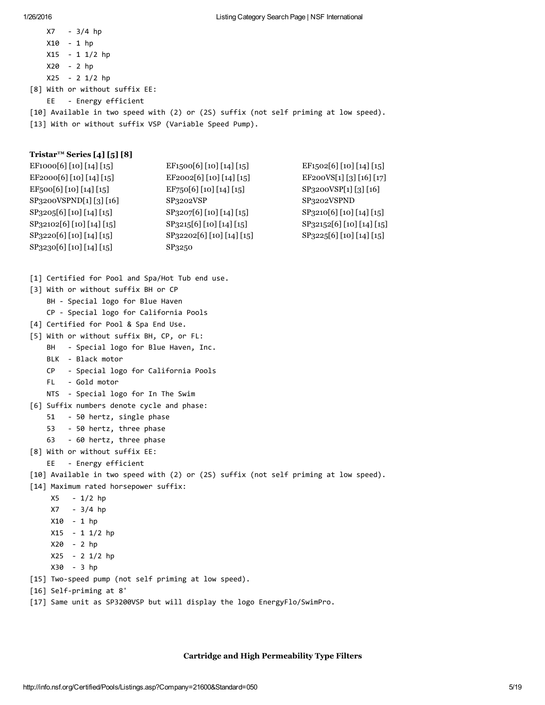X7 ‐ 3/4 hp X10 ‐ 1 hp X15 ‐ 1 1/2 hp X20 ‐ 2 hp X25 ‐ 2 1/2 hp [8] With or without suffix EE: EE ‐ Energy efficient [10] Available in two speed with (2) or (2S) suffix (not self priming at low speed). [13] With or without suffix VSP (Variable Speed Pump).

#### Tristar™ Series [4] [5] [8]

| EF1000[6] [10] [14] [15]            | EF1500[6][10][14][15]      | EF <sub>1502</sub> [6] [10] [14] [15]  |
|-------------------------------------|----------------------------|----------------------------------------|
| EF2000[6] [10] [14] [15]            | EF2002[6] [10] [14] [15]   | EF200VS[1][3][16][17]                  |
| $EF_500[6][10][14][15]$             | $EF$ 750[6] [10] [14] [15] | SP3200VSP[1][3][16]                    |
| SP3200VSPND[1][3][16]               | SP <sub>3202</sub> VSP     | SP3202VSPND                            |
| SP3205[6] [10] [14] [15]            | SP3207[6] [10] [14] [15]   | SP3210[6] [10] [14] [15]               |
| SP <sub>3</sub> 2102[6][10][14][15] | SP3215[6] [10] [14] [15]   | SP <sub>32152</sub> [6] [10] [14] [15] |
| SP3220[6] [10] [14] [15]            | SP32202[6] [10] [14] [15]  | SP3225[6] [10] [14] [15]               |
| SP <sub>3</sub> 230[6][10][14][15]  | SP3250                     |                                        |

- [1] Certified for Pool and Spa/Hot Tub end use.
- [3] With or without suffix BH or CP
	- BH ‐ Special logo for Blue Haven
	- CP ‐ Special logo for California Pools
- [4] Certified for Pool & Spa End Use.
- [5] With or without suffix BH, CP, or FL:
	- BH Special logo for Blue Haven, Inc.
		- BLK ‐ Black motor
		- CP ‐ Special logo for California Pools
		- FL ‐ Gold motor
	- NTS ‐ Special logo for In The Swim
- [6] Suffix numbers denote cycle and phase:
	- 51 ‐ 50 hertz, single phase
	- 53 ‐ 50 hertz, three phase
	- 63 ‐ 60 hertz, three phase
- [8] With or without suffix EE:
	- EE ‐ Energy efficient

#### [10] Available in two speed with (2) or (2S) suffix (not self priming at low speed).

- [14] Maximum rated horsepower suffix:
	- X5 ‐ 1/2 hp
	- X7 ‐ 3/4 hp
	- X10 ‐ 1 hp
	- X15 ‐ 1 1/2 hp
	- X20 ‐ 2 hp
	- X25 ‐ 2 1/2 hp
	- X30 ‐ 3 hp
- [15] Two‐speed pump (not self priming at low speed).
- [16] Self‐priming at 8'
- [17] Same unit as SP3200VSP but will display the logo EnergyFlo/SwimPro.

#### Cartridge and High Permeability Type Filters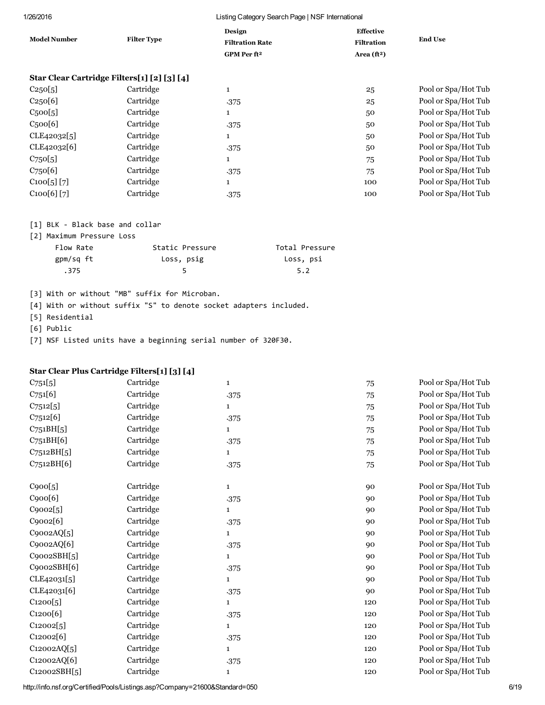| <b>Model Number</b>                         | <b>Filter Type</b> | Design<br><b>Filtration Rate</b><br>GPM Per ft <sup>2</sup> | <b>Effective</b><br><b>Filtration</b><br>Area $(ft^2)$ | <b>End Use</b>      |
|---------------------------------------------|--------------------|-------------------------------------------------------------|--------------------------------------------------------|---------------------|
| Star Clear Cartridge Filters[1] [2] [3] [4] |                    |                                                             |                                                        |                     |
| C250[5]                                     | Cartridge          | $\mathbf{1}$                                                | 25                                                     | Pool or Spa/Hot Tub |
| C250[6]                                     | Cartridge          | .375                                                        | 25                                                     | Pool or Spa/Hot Tub |
| C <sub>5</sub> oo[5]                        | Cartridge          | 1                                                           | 50                                                     | Pool or Spa/Hot Tub |
| C <sub>5</sub> oo[6]                        | Cartridge          | .375                                                        | 50                                                     | Pool or Spa/Hot Tub |
| CLE42032[5]                                 | Cartridge          | $\mathbf{1}$                                                | 50                                                     | Pool or Spa/Hot Tub |
| CLE42032[6]                                 | Cartridge          | .375                                                        | 50                                                     | Pool or Spa/Hot Tub |
| $C_{75}$ o[5]                               | Cartridge          | $\mathbf{1}$                                                | 75                                                     | Pool or Spa/Hot Tub |
| C <sub>750</sub> [6]                        | Cartridge          | .375                                                        | 75                                                     | Pool or Spa/Hot Tub |
| C100[5][7]                                  | Cartridge          | $\mathbf{1}$                                                | 100                                                    | Pool or Spa/Hot Tub |
| C100[6][7]                                  | Cartridge          | .375                                                        | 100                                                    | Pool or Spa/Hot Tub |

### [1] BLK ‐ Black base and collar

[2] Maximum Pressure Loss

| Flow Rate | Static Pressure | Total Pressure |
|-----------|-----------------|----------------|
| gpm/sq ft | Loss, psig      | Loss, psi      |
| .375      |                 | 5.2            |

[3] With or without "MB" suffix for Microban.

[4] With or without suffix "S" to denote socket adapters included.

[5] Residential

[6] Public

[7] NSF Listed units have a beginning serial number of 320F30.

#### Star Clear Plus Cartridge Filters[1] [3] [4]

| $C_{751}[5]$    | Cartridge | $\mathbf{1}$ | 75  | Pool or Spa/Hot Tub |
|-----------------|-----------|--------------|-----|---------------------|
| C751[6]         | Cartridge | .375         | 75  | Pool or Spa/Hot Tub |
| C7512[5]        | Cartridge | $\mathbf{1}$ | 75  | Pool or Spa/Hot Tub |
| C7512[6]        | Cartridge | .375         | 75  | Pool or Spa/Hot Tub |
| $C_{751}BH[5]$  | Cartridge | $\mathbf{1}$ | 75  | Pool or Spa/Hot Tub |
| C751BH[6]       | Cartridge | .375         | 75  | Pool or Spa/Hot Tub |
| $C_{7512}BH[5]$ | Cartridge | $\mathbf{1}$ | 75  | Pool or Spa/Hot Tub |
| C7512BH[6]      | Cartridge | .375         | 75  | Pool or Spa/Hot Tub |
|                 |           |              |     |                     |
| C900[5]         | Cartridge | $\mathbf{1}$ | 90  | Pool or Spa/Hot Tub |
| C900[6]         | Cartridge | .375         | 90  | Pool or Spa/Hot Tub |
| C9002[5]        | Cartridge | 1            | 90  | Pool or Spa/Hot Tub |
| C9002[6]        | Cartridge | .375         | 90  | Pool or Spa/Hot Tub |
| C9002AQ[5]      | Cartridge | $\mathbf{1}$ | 90  | Pool or Spa/Hot Tub |
| C9002AQ[6]      | Cartridge | .375         | 90  | Pool or Spa/Hot Tub |
| C9002SBH[5]     | Cartridge | 1            | 90  | Pool or Spa/Hot Tub |
| C9002SBH[6]     | Cartridge | .375         | 90  | Pool or Spa/Hot Tub |
| CLE42031[5]     | Cartridge | $\mathbf{1}$ | 90  | Pool or Spa/Hot Tub |
| CLE42031[6]     | Cartridge | .375         | 90  | Pool or Spa/Hot Tub |
| C1200[5]        | Cartridge | $\mathbf{1}$ | 120 | Pool or Spa/Hot Tub |
| C1200[6]        | Cartridge | .375         | 120 | Pool or Spa/Hot Tub |
| C12002[5]       | Cartridge | $\mathbf{1}$ | 120 | Pool or Spa/Hot Tub |
| C12002[6]       | Cartridge | .375         | 120 | Pool or Spa/Hot Tub |
| C12002AQ[5]     | Cartridge | $\mathbf{1}$ | 120 | Pool or Spa/Hot Tub |
| C12002AQ[6]     | Cartridge | .375         | 120 | Pool or Spa/Hot Tub |
| C12002SBH[5]    | Cartridge | 1            | 120 | Pool or Spa/Hot Tub |

http://info.nsf.org/Certified/Pools/Listings.asp?Company=21600&Standard=050 6/19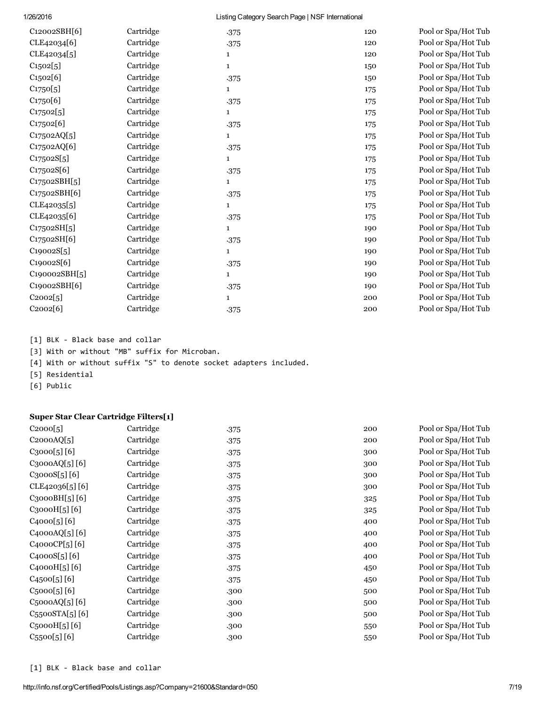| C12002SBH[6]              | Cartridge | .375         | 120 | Pool or Spa/Hot Tub |
|---------------------------|-----------|--------------|-----|---------------------|
| CLE42034[6]               | Cartridge | .375         | 120 | Pool or Spa/Hot Tub |
| CLE42034[5]               | Cartridge | 1            | 120 | Pool or Spa/Hot Tub |
| C1502[5]                  | Cartridge | 1            | 150 | Pool or Spa/Hot Tub |
| C1502[6]                  | Cartridge | .375         | 150 | Pool or Spa/Hot Tub |
| C1750[5]                  | Cartridge | 1            | 175 | Pool or Spa/Hot Tub |
| C1750[6]                  | Cartridge | .375         | 175 | Pool or Spa/Hot Tub |
| C17502[5]                 | Cartridge | $\mathbf{1}$ | 175 | Pool or Spa/Hot Tub |
| C17502[6]                 | Cartridge | .375         | 175 | Pool or Spa/Hot Tub |
| C17502AQ[5]               | Cartridge | $\mathbf{1}$ | 175 | Pool or Spa/Hot Tub |
| C17502AQ[6]               | Cartridge | .375         | 175 | Pool or Spa/Hot Tub |
| C17502S[5]                | Cartridge | 1            | 175 | Pool or Spa/Hot Tub |
| C17502S[6]                | Cartridge | .375         | 175 | Pool or Spa/Hot Tub |
| C17502SBH[5]              | Cartridge | 1            | 175 | Pool or Spa/Hot Tub |
| C <sub>175</sub> 02SBH[6] | Cartridge | .375         | 175 | Pool or Spa/Hot Tub |
| CLE42035[5]               | Cartridge | 1            | 175 | Pool or Spa/Hot Tub |
| CLE42035[6]               | Cartridge | .375         | 175 | Pool or Spa/Hot Tub |
| C17502SH[5]               | Cartridge | $\mathbf{1}$ | 190 | Pool or Spa/Hot Tub |
| C17502SH[6]               | Cartridge | .375         | 190 | Pool or Spa/Hot Tub |
| C19002S[5]                | Cartridge | $\mathbf{1}$ | 190 | Pool or Spa/Hot Tub |
| C19002S[6]                | Cartridge | .375         | 190 | Pool or Spa/Hot Tub |
| C190002SBH[5]             | Cartridge | $\mathbf{1}$ | 190 | Pool or Spa/Hot Tub |
| C19002SBH[6]              | Cartridge | .375         | 190 | Pool or Spa/Hot Tub |
| C2002[5]                  | Cartridge | $\mathbf{1}$ | 200 | Pool or Spa/Hot Tub |
| C2002[6]                  | Cartridge | .375         | 200 | Pool or Spa/Hot Tub |
|                           |           |              |     |                     |

[1] BLK ‐ Black base and collar

[3] With or without "MB" suffix for Microban.

[4] With or without suffix "S" to denote socket adapters included.

[5] Residential

[6] Public

#### Super Star Clear Cartridge Filters[1]

| C2000[5]                   | Cartridge | .375 | 200 | Pool or Spa/Hot Tub |
|----------------------------|-----------|------|-----|---------------------|
| C2000AQ[5]                 | Cartridge | .375 | 200 | Pool or Spa/Hot Tub |
| C3000[5][6]                | Cartridge | .375 | 300 | Pool or Spa/Hot Tub |
| C3000AQ[5][6]              | Cartridge | .375 | 300 | Pool or Spa/Hot Tub |
| C3000S[5][6]               | Cartridge | .375 | 300 | Pool or Spa/Hot Tub |
| CLE42036[5][6]             | Cartridge | .375 | 300 | Pool or Spa/Hot Tub |
| C3000BH[5][6]              | Cartridge | .375 | 325 | Pool or Spa/Hot Tub |
| C3000H[5][6]               | Cartridge | .375 | 325 | Pool or Spa/Hot Tub |
| C4000[5][6]                | Cartridge | .375 | 400 | Pool or Spa/Hot Tub |
| C4000AQ[5][6]              | Cartridge | .375 | 400 | Pool or Spa/Hot Tub |
| C4000CP[5][6]              | Cartridge | .375 | 400 | Pool or Spa/Hot Tub |
| C4000S[5][6]               | Cartridge | .375 | 400 | Pool or Spa/Hot Tub |
| C4000H[5][6]               | Cartridge | .375 | 450 | Pool or Spa/Hot Tub |
| C4500[5][6]                | Cartridge | .375 | 450 | Pool or Spa/Hot Tub |
| $C_{5}000[5][6]$           | Cartridge | .300 | 500 | Pool or Spa/Hot Tub |
| $C_{5}000AQ[5][6]$         | Cartridge | .300 | 500 | Pool or Spa/Hot Tub |
| $C_{55}$ ooSTA $[5]$ $[6]$ | Cartridge | .300 | 500 | Pool or Spa/Hot Tub |
| $C_{5}$ 000 $H[5]$ [6]     | Cartridge | .300 | 550 | Pool or Spa/Hot Tub |
| $C_{55}$ 00 $[5]$ $[6]$    | Cartridge | .300 | 550 | Pool or Spa/Hot Tub |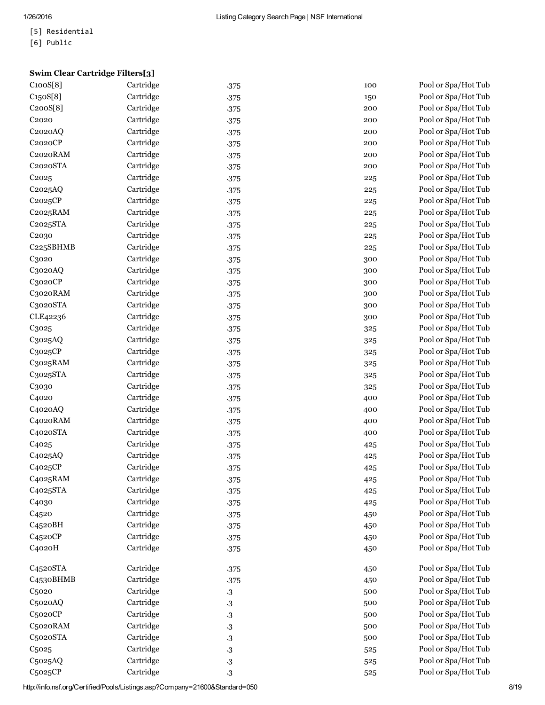- [5] Residential
- [6] Public

# Swim Clear Cartridge Filters[3]<br>C100S[8] Cartridge

| C100S[8]               | Cartridge | .375      | 100 | Pool or Spa/Hot Tub |
|------------------------|-----------|-----------|-----|---------------------|
| C150S[8]               | Cartridge | .375      | 150 | Pool or Spa/Hot Tub |
| C200S[8]               | Cartridge | .375      | 200 | Pool or Spa/Hot Tub |
| C <sub>2020</sub>      | Cartridge | .375      | 200 | Pool or Spa/Hot Tub |
| C <sub>2020</sub> AQ   | Cartridge | .375      | 200 | Pool or Spa/Hot Tub |
| C2020CP                | Cartridge | .375      | 200 | Pool or Spa/Hot Tub |
| C2020RAM               | Cartridge | .375      | 200 | Pool or Spa/Hot Tub |
| C2020STA               | Cartridge | .375      | 200 | Pool or Spa/Hot Tub |
| C <sub>2025</sub>      | Cartridge | .375      | 225 | Pool or Spa/Hot Tub |
| C2025AQ                | Cartridge | .375      | 225 | Pool or Spa/Hot Tub |
| C2025CP                | Cartridge | .375      | 225 | Pool or Spa/Hot Tub |
| C2025RAM               | Cartridge | .375      | 225 | Pool or Spa/Hot Tub |
| C2025STA               | Cartridge | .375      | 225 | Pool or Spa/Hot Tub |
| C <sub>20</sub> 30     | Cartridge | .375      | 225 | Pool or Spa/Hot Tub |
| C225SBHMB              | Cartridge | .375      | 225 | Pool or Spa/Hot Tub |
| C3020                  | Cartridge | .375      | 300 | Pool or Spa/Hot Tub |
| C3020AQ                | Cartridge | .375      | 300 | Pool or Spa/Hot Tub |
| C3020CP                | Cartridge | .375      | 300 | Pool or Spa/Hot Tub |
| C3020RAM               | Cartridge | .375      | 300 | Pool or Spa/Hot Tub |
| C3020STA               | Cartridge | .375      | 300 | Pool or Spa/Hot Tub |
| CLE42236               | Cartridge | .375      | 300 | Pool or Spa/Hot Tub |
| C3025                  | Cartridge | .375      | 325 | Pool or Spa/Hot Tub |
| C3025AQ                | Cartridge | .375      | 325 | Pool or Spa/Hot Tub |
| C3025CP                | Cartridge | .375      | 325 | Pool or Spa/Hot Tub |
| C3025RAM               | Cartridge | .375      | 325 | Pool or Spa/Hot Tub |
| C3025STA               | Cartridge | .375      | 325 | Pool or Spa/Hot Tub |
| C3030                  | Cartridge | .375      | 325 | Pool or Spa/Hot Tub |
| C <sub>4020</sub>      | Cartridge | .375      | 400 | Pool or Spa/Hot Tub |
| C4020AQ                | Cartridge | .375      | 400 | Pool or Spa/Hot Tub |
| C4020RAM               | Cartridge | .375      | 400 | Pool or Spa/Hot Tub |
| C4020STA               | Cartridge | .375      | 400 | Pool or Spa/Hot Tub |
| C <sub>4025</sub>      | Cartridge | .375      | 425 | Pool or Spa/Hot Tub |
| C <sub>4025</sub> AQ   | Cartridge | .375      | 425 | Pool or Spa/Hot Tub |
| C4025CP                | Cartridge | .375      | 425 | Pool or Spa/Hot Tub |
| C <sub>4025</sub> RAM  | Cartridge | .375      | 425 | Pool or Spa/Hot Tub |
| C4025STA               | Cartridge | .375      | 425 | Pool or Spa/Hot Tub |
| C <sub>4030</sub>      | Cartridge | .375      | 425 | Pool or Spa/Hot Tub |
| C <sub>4520</sub>      | Cartridge | .375      | 450 | Pool or Spa/Hot Tub |
| C <sub>4520</sub> BH   | Cartridge | .375      | 450 | Pool or Spa/Hot Tub |
| C <sub>4520</sub> CP   | Cartridge | .375      | 450 | Pool or Spa/Hot Tub |
| C4020H                 | Cartridge | .375      | 450 | Pool or Spa/Hot Tub |
| C <sub>4520</sub> STA  | Cartridge | .375      | 450 | Pool or Spa/Hot Tub |
| C <sub>453</sub> oBHMB | Cartridge | .375      | 450 | Pool or Spa/Hot Tub |
| C <sub>5020</sub>      | Cartridge | $\cdot 3$ | 500 | Pool or Spa/Hot Tub |
| C5020AQ                | Cartridge | $\cdot$ 3 | 500 | Pool or Spa/Hot Tub |
| C5020CP                | Cartridge | $\cdot 3$ | 500 | Pool or Spa/Hot Tub |
| C5020RAM               | Cartridge | $\cdot$ 3 | 500 | Pool or Spa/Hot Tub |
| C5020STA               | Cartridge | $\cdot$ 3 | 500 | Pool or Spa/Hot Tub |
| C <sub>5025</sub>      | Cartridge | $\cdot 3$ | 525 | Pool or Spa/Hot Tub |
| C5025AQ                | Cartridge | $\cdot 3$ | 525 | Pool or Spa/Hot Tub |
| C5025CP                | Cartridge | $\cdot 3$ | 525 | Pool or Spa/Hot Tub |
|                        |           |           |     |                     |

http://info.nsf.org/Certified/Pools/Listings.asp?Company=21600&Standard=050 8/19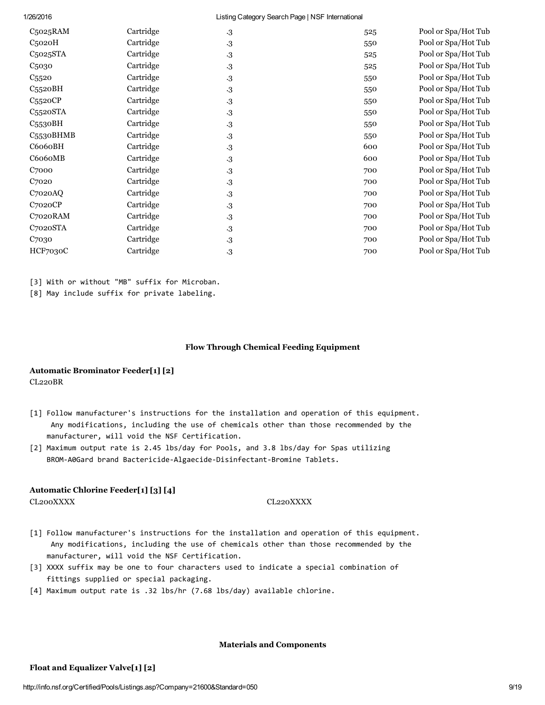| C5025RAM              | Cartridge | $\cdot 3$ | 525 | Pool or Spa/Hot Tub |
|-----------------------|-----------|-----------|-----|---------------------|
| $C5$ 020 $H$          | Cartridge | $\cdot 3$ | 550 | Pool or Spa/Hot Tub |
| C <sub>5025</sub> STA | Cartridge | $\cdot 3$ | 525 | Pool or Spa/Hot Tub |
| C <sub>5030</sub>     | Cartridge | $\cdot 3$ | 525 | Pool or Spa/Hot Tub |
| C <sub>5520</sub>     | Cartridge | $\cdot 3$ | 550 | Pool or Spa/Hot Tub |
| $C_{5520}BH$          | Cartridge | $\cdot 3$ | 550 | Pool or Spa/Hot Tub |
| C5520CP               | Cartridge | $\cdot 3$ | 550 | Pool or Spa/Hot Tub |
| C5520STA              | Cartridge | $\cdot 3$ | 550 | Pool or Spa/Hot Tub |
| C <sub>553</sub> oBH  | Cartridge | $\cdot 3$ | 550 | Pool or Spa/Hot Tub |
| C5530BHMB             | Cartridge | $\cdot 3$ | 550 | Pool or Spa/Hot Tub |
| C6060BH               | Cartridge | $\cdot 3$ | 600 | Pool or Spa/Hot Tub |
| C6060MB               | Cartridge | $\cdot 3$ | 600 | Pool or Spa/Hot Tub |
| C <sub>7000</sub>     | Cartridge | $\cdot 3$ | 700 | Pool or Spa/Hot Tub |
| C <sub>7020</sub>     | Cartridge | $\cdot 3$ | 700 | Pool or Spa/Hot Tub |
| C <sub>7020</sub> AQ  | Cartridge | $\cdot 3$ | 700 | Pool or Spa/Hot Tub |
| C7020CP               | Cartridge | $\cdot 3$ | 700 | Pool or Spa/Hot Tub |
| C7020RAM              | Cartridge | $\cdot 3$ | 700 | Pool or Spa/Hot Tub |
| C7020STA              | Cartridge | $\cdot 3$ | 700 | Pool or Spa/Hot Tub |
| C <sub>7030</sub>     | Cartridge | $\cdot 3$ | 700 | Pool or Spa/Hot Tub |
| HCF7030C              | Cartridge | $\cdot 3$ | 700 | Pool or Spa/Hot Tub |
|                       |           |           |     |                     |

[3] With or without "MB" suffix for Microban.

[8] May include suffix for private labeling.

#### Flow Through Chemical Feeding Equipment

#### Automatic Brominator Feeder[1] [2] CL220BR

- [1] Follow manufacturer's instructions for the installation and operation of this equipment. Any modifications, including the use of chemicals other than those recommended by the manufacturer, will void the NSF Certification.
- [2] Maximum output rate is 2.45 lbs/day for Pools, and 3.8 lbs/day for Spas utilizing BROM‐A0Gard brand Bactericide‐Algaecide‐Disinfectant‐Bromine Tablets.

#### Automatic Chlorine Feeder[1] [3] [4]

CL200XXXX CL220XXXX

- [1] Follow manufacturer's instructions for the installation and operation of this equipment. Any modifications, including the use of chemicals other than those recommended by the manufacturer, will void the NSF Certification.
- [3] XXXX suffix may be one to four characters used to indicate a special combination of fittings supplied or special packaging.
- [4] Maximum output rate is .32 lbs/hr (7.68 lbs/day) available chlorine.

#### Materials and Components

#### Float and Equalizer Valve[1] [2]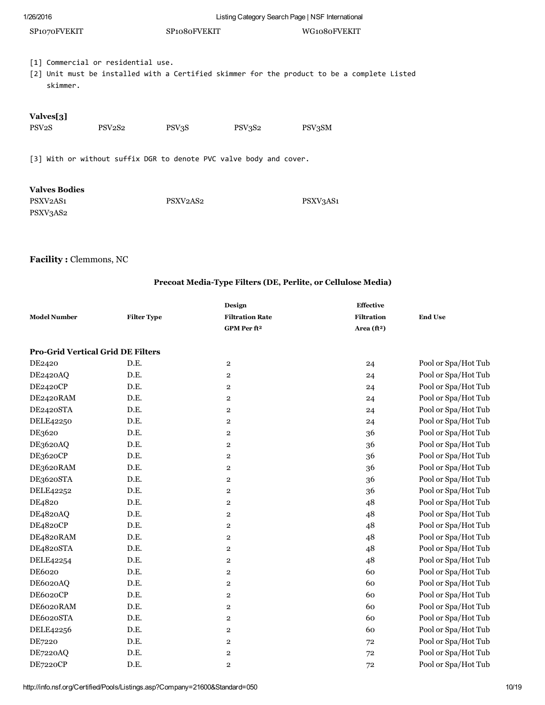| 1/26/2016                                                             |                                                                    |                                   |        | Listing Category Search Page   NSF International |                                                                                             |  |
|-----------------------------------------------------------------------|--------------------------------------------------------------------|-----------------------------------|--------|--------------------------------------------------|---------------------------------------------------------------------------------------------|--|
| SP1070FVEKIT                                                          |                                                                    | SP <sub>1080</sub> FVEKIT         |        |                                                  | WG1080FVEKIT                                                                                |  |
| skimmer.                                                              | [1] Commercial or residential use.                                 |                                   |        |                                                  | [2] Unit must be installed with a Certified skimmer for the product to be a complete Listed |  |
| Valves[3]<br>PSV <sub>2</sub> S                                       | PSV <sub>2</sub> S <sub>2</sub>                                    | PSV3S                             | PSV3S2 | PSV3SM                                           |                                                                                             |  |
|                                                                       | [3] With or without suffix DGR to denote PVC valve body and cover. |                                   |        |                                                  |                                                                                             |  |
| <b>Valves Bodies</b><br>PSXV <sub>2</sub> AS <sub>1</sub><br>PSXV3AS2 |                                                                    | PSXV <sub>2</sub> AS <sub>2</sub> |        | PSXV3AS1                                         |                                                                                             |  |

## Facility : Clemmons, NC

## Precoat MediaType Filters (DE, Perlite, or Cellulose Media)

| <b>Model Number</b>                      | <b>Filter Type</b> | Design<br><b>Filtration Rate</b><br>GPM Per ft <sup>2</sup> | <b>Effective</b><br><b>Filtration</b><br>Area $({\bf f}t^2)$ | <b>End Use</b>      |
|------------------------------------------|--------------------|-------------------------------------------------------------|--------------------------------------------------------------|---------------------|
| <b>Pro-Grid Vertical Grid DE Filters</b> |                    |                                                             |                                                              |                     |
| DE2420                                   | D.E.               | $\mathbf{2}$                                                | 24                                                           | Pool or Spa/Hot Tub |
| DE2420AQ                                 | D.E.               | $\overline{\mathbf{2}}$                                     | 24                                                           | Pool or Spa/Hot Tub |
| DE2420CP                                 | D.E.               | $\overline{\mathbf{2}}$                                     | 24                                                           | Pool or Spa/Hot Tub |
| DE2420RAM                                | D.E.               | $\overline{\mathbf{2}}$                                     | 24                                                           | Pool or Spa/Hot Tub |
| DE2420STA                                | D.E.               | $\overline{\mathbf{2}}$                                     | 24                                                           | Pool or Spa/Hot Tub |
| <b>DELE42250</b>                         | D.E.               | $\overline{\mathbf{2}}$                                     | 24                                                           | Pool or Spa/Hot Tub |
| DE3620                                   | D.E.               | $\overline{\mathbf{2}}$                                     | 36                                                           | Pool or Spa/Hot Tub |
| DE3620AQ                                 | D.E.               | $\overline{\mathbf{2}}$                                     | 36                                                           | Pool or Spa/Hot Tub |
| DE3620CP                                 | D.E.               | $\boldsymbol{2}$                                            | 36                                                           | Pool or Spa/Hot Tub |
| DE3620RAM                                | D.E.               | $\overline{\mathbf{2}}$                                     | 36                                                           | Pool or Spa/Hot Tub |
| DE3620STA                                | D.E.               | $\overline{\mathbf{2}}$                                     | 36                                                           | Pool or Spa/Hot Tub |
| DELE42252                                | D.E.               | $\overline{\mathbf{2}}$                                     | 36                                                           | Pool or Spa/Hot Tub |
| DE4820                                   | D.E.               | $\overline{\mathbf{2}}$                                     | 48                                                           | Pool or Spa/Hot Tub |
| DE4820AQ                                 | D.E.               | $\overline{\mathbf{2}}$                                     | 48                                                           | Pool or Spa/Hot Tub |
| DE4820CP                                 | D.E.               | $\overline{\mathbf{2}}$                                     | 48                                                           | Pool or Spa/Hot Tub |
| DE4820RAM                                | D.E.               | $\overline{\mathbf{2}}$                                     | 48                                                           | Pool or Spa/Hot Tub |
| DE4820STA                                | D.E.               | $\overline{2}$                                              | 48                                                           | Pool or Spa/Hot Tub |
| DELE42254                                | D.E.               | $\overline{2}$                                              | 48                                                           | Pool or Spa/Hot Tub |
| DE6020                                   | D.E.               | $\overline{\mathbf{2}}$                                     | 60                                                           | Pool or Spa/Hot Tub |
| DE6020AQ                                 | D.E.               | $\overline{\mathbf{2}}$                                     | 60                                                           | Pool or Spa/Hot Tub |
| DE6020CP                                 | D.E.               | $\boldsymbol{2}$                                            | 60                                                           | Pool or Spa/Hot Tub |
| DE6020RAM                                | D.E.               | $\overline{\mathbf{2}}$                                     | 60                                                           | Pool or Spa/Hot Tub |
| DE6020STA                                | D.E.               | $\overline{2}$                                              | 60                                                           | Pool or Spa/Hot Tub |
| DELE42256                                | D.E.               | $\overline{\mathbf{2}}$                                     | 60                                                           | Pool or Spa/Hot Tub |
| DE7220                                   | D.E.               | $\overline{\mathbf{2}}$                                     | 72                                                           | Pool or Spa/Hot Tub |
| DE7220AQ                                 | D.E.               | $\overline{\mathbf{2}}$                                     | 72                                                           | Pool or Spa/Hot Tub |
| DE7220CP                                 | D.E.               | $\overline{2}$                                              | 72                                                           | Pool or Spa/Hot Tub |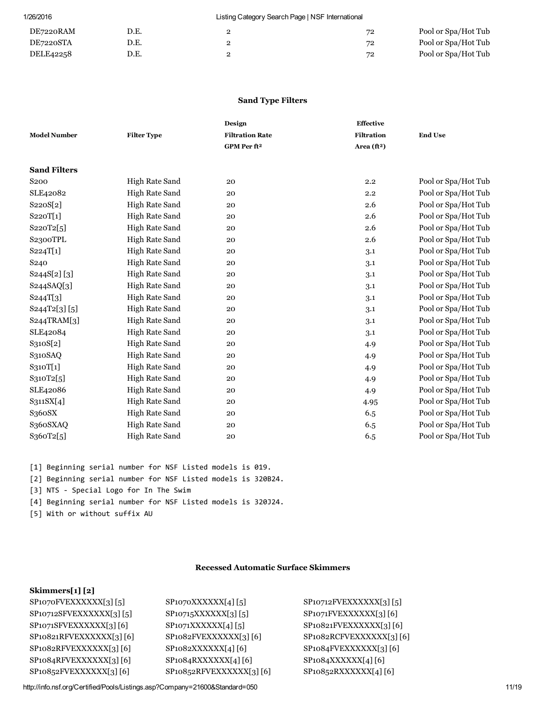| DE7220RAM | D.E. | ← | 72 | Pool or Spa/Hot Tub |
|-----------|------|---|----|---------------------|
| DE7220STA | D.E. | - | 72 | Pool or Spa/Hot Tub |
| DELE42258 | D.E. | ے | 72 | Pool or Spa/Hot Tub |

#### Sand Type Filters

| <b>Model Number</b> | <b>Filter Type</b> | Design<br><b>Filtration Rate</b> | Effective<br><b>Filtration</b> | <b>End Use</b>      |
|---------------------|--------------------|----------------------------------|--------------------------------|---------------------|
|                     |                    | GPM Per ft <sup>2</sup>          | Area $(ft2)$                   |                     |
| <b>Sand Filters</b> |                    |                                  |                                |                     |
| S <sub>200</sub>    | High Rate Sand     | 20                               | 2.2                            | Pool or Spa/Hot Tub |
| SLE42082            | High Rate Sand     | 20                               | 2.2                            | Pool or Spa/Hot Tub |
| S220S[2]            | High Rate Sand     | 20                               | 2.6                            | Pool or Spa/Hot Tub |
| S220T[1]            | High Rate Sand     | 20                               | 2.6                            | Pool or Spa/Hot Tub |
| S220T2[5]           | High Rate Sand     | 20                               | 2.6                            | Pool or Spa/Hot Tub |
| S2300TPL            | High Rate Sand     | 20                               | 2.6                            | Pool or Spa/Hot Tub |
| S224T[1]            | High Rate Sand     | 20                               | 3.1                            | Pool or Spa/Hot Tub |
| S <sub>240</sub>    | High Rate Sand     | 20                               | 3.1                            | Pool or Spa/Hot Tub |
| S244S[2][3]         | High Rate Sand     | 20                               | 3.1                            | Pool or Spa/Hot Tub |
| S244SAQ[3]          | High Rate Sand     | 20                               | 3.1                            | Pool or Spa/Hot Tub |
| S244T[3]            | High Rate Sand     | 20                               | 3.1                            | Pool or Spa/Hot Tub |
| S244T2[3][5]        | High Rate Sand     | 20                               | 3.1                            | Pool or Spa/Hot Tub |
| S244TRAM[3]         | High Rate Sand     | 20                               | 3.1                            | Pool or Spa/Hot Tub |
| SLE42084            | High Rate Sand     | 20                               | 3.1                            | Pool or Spa/Hot Tub |
| S310S[2]            | High Rate Sand     | 20                               | 4.9                            | Pool or Spa/Hot Tub |
| S310SAQ             | High Rate Sand     | 20                               | 4.9                            | Pool or Spa/Hot Tub |
| S310T[1]            | High Rate Sand     | 20                               | 4.9                            | Pool or Spa/Hot Tub |
| S310T2[5]           | High Rate Sand     | 20                               | 4.9                            | Pool or Spa/Hot Tub |
| SLE42086            | High Rate Sand     | 20                               | 4.9                            | Pool or Spa/Hot Tub |
| S311SX[4]           | High Rate Sand     | 20                               | 4.95                           | Pool or Spa/Hot Tub |
| S360SX              | High Rate Sand     | 20                               | 6.5                            | Pool or Spa/Hot Tub |
| S360SXAQ            | High Rate Sand     | 20                               | 6.5                            | Pool or Spa/Hot Tub |
| S360T2[5]           | High Rate Sand     | 20                               | 6.5                            | Pool or Spa/Hot Tub |

[1] Beginning serial number for NSF Listed models is 019.

[2] Beginning serial number for NSF Listed models is 320B24.

[3] NTS ‐ Special Logo for In The Swim

[4] Beginning serial number for NSF Listed models is 320J24.

[5] With or without suffix AU

#### Recessed Automatic Surface Skimmers

#### Skimmers[1] [2]

| SP1070FVEXXXXXX[3][5]                |  |
|--------------------------------------|--|
| SP10712SFVEXXXXXX[3][5]              |  |
| SP1071SFVEXXXXXX[3][6]               |  |
| SP <sub>10821</sub> RFVEXXXXXX[3][6] |  |
| SP <sub>1082</sub> RFVEXXXXXX[3][6]  |  |
| SP <sub>1084</sub> RFVEXXXXXX[3][6]  |  |
| SP10852FVEXXXXXX[3][6]               |  |

SP1070XXXXXX[4] [5] SP10712FVEXXXXXX[3] [5] SP1084RXXXXXX[4] [6] SP1084XXXXXX[4] [6] SP10852RFVEXXXXXX[3] [6] SP10852RXXXXXX[4] [6]

SP10715XXXXXX[3] [5] SP1071FVEXXXXXX[3] [6] SP1071XXXXXX[4] [5] SP10821FVEXXXXXX[3] [6] SP1082FVEXXXXXX[3] [6] SP1082RCFVEXXXXXX[3] [6] SP1082XXXXXX[4] [6] SP1084FVEXXXXXX[3] [6]

http://info.nsf.org/Certified/Pools/Listings.asp?Company=21600&Standard=050 11/19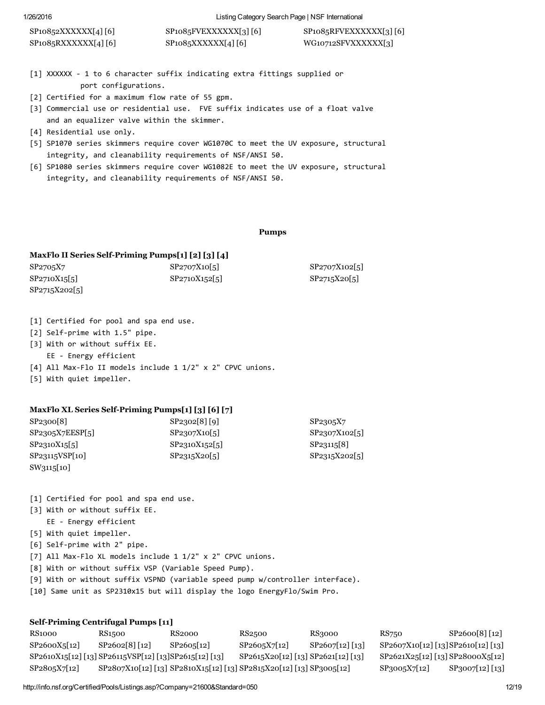| SP10852XXXXXX[4][6]  | $SP1085$ $FVEXXXXX$ [3] [6] | $SP1085$ RFVEXXXXXX[3][6] |
|----------------------|-----------------------------|---------------------------|
| $SP1085RXXXXXI4$ [6] | SP1085XXXXX[4][6]           | WG10712SFVXXXXXX[3]       |

- [1] XXXXXX ‐ 1 to 6 character suffix indicating extra fittings supplied or port configurations.
- [2] Certified for a maximum flow rate of 55 gpm.
- [3] Commercial use or residential use. FVE suffix indicates use of a float valve and an equalizer valve within the skimmer.
- [4] Residential use only.
- [5] SP1070 series skimmers require cover WG1070C to meet the UV exposure, structural integrity, and cleanability requirements of NSF/ANSI 50.
- [6] SP1080 series skimmers require cover WG1082E to meet the UV exposure, structural integrity, and cleanability requirements of NSF/ANSI 50.

#### Pumps

#### MaxFlo II Series Self-Priming Pumps[1] [2] [3] [4]

| SP2705X7      | SP2707X10[5]  | SP2707X102[5] |
|---------------|---------------|---------------|
| SP2710X15[5]  | SP2710X152[5] | SP2715X20[5]  |
| SP2715X202[5] |               |               |

- [1] Certified for pool and spa end use.
- [2] Self-prime with 1.5" pipe.
- [3] With or without suffix EE.
- EE ‐ Energy efficient
- [4] All Max-Flo II models include 1 1/2" x 2" CPVC unions.
- [5] With quiet impeller.

#### MaxFlo XL Series Self-Priming Pumps[1] [3] [6] [7]

| SP2300[8]       | SP2302[8][9] | SP2305X7     |
|-----------------|--------------|--------------|
| SP2305X7EESP[5] | SP2307X10 5  | SP2307X102 5 |
| SP2310X15[5]    | SP2310X152 5 | SP23115 8    |
| SP23115VSP[10]  | SP2315X20[5] | SP2315X202 5 |
| SW3115[10]      |              |              |

- [1] Certified for pool and spa end use.
- [3] With or without suffix EE.
- EE ‐ Energy efficient
- [5] With quiet impeller.
- [6] Self‐prime with 2" pipe.
- [7] All Max-Flo XL models include 1 1/2" x 2" CPVC unions.
- [8] With or without suffix VSP (Variable Speed Pump).
- [9] With or without suffix VSPND (variable speed pump w/controller interface).
- [10] Same unit as SP2310x15 but will display the logo EnergyFlo/Swim Pro.

#### Self-Priming Centrifugal Pumps [11]

| <b>RS1000</b> | RS1500                                                 | RS2000    | RS2500                                                              | RS3000          | RS750                              | SP2600[8] [12]               |
|---------------|--------------------------------------------------------|-----------|---------------------------------------------------------------------|-----------------|------------------------------------|------------------------------|
| SP2600X5[12]  | $SP2602[8]$ [12]                                       | SP2605112 | SP2605X7[12]                                                        | SP2607[12] [13] | SP2607X10[12] [13] SP2610[12] [13] |                              |
|               | SP2610X15[12] [13] SP26115VSP[12] [13] SP2615[12] [13] |           | SP2615X20[12] [13] SP2621[12] [13]                                  |                 | SP2621X25[12] [13] SP28000X5[12]   |                              |
| SP2805X7[12]  |                                                        |           | SP2807X10[12] [13] SP2810X15[12] [13] SP2815X20[12] [13] SP3005[12] |                 | $SP3005X7 12 $                     | SP <sub>3007</sub> [12] [13] |

http://info.nsf.org/Certified/Pools/Listings.asp?Company=21600&Standard=050 12/19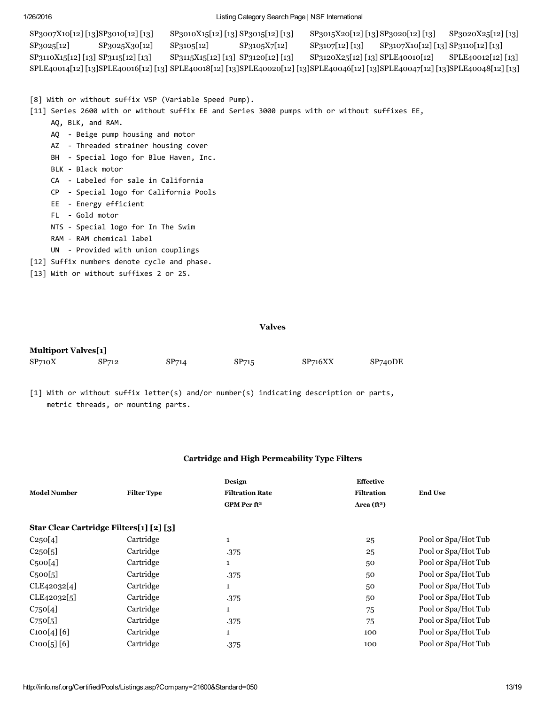SP3007X10[12] [13]SP3010[12] [13] SP3010X15[12] [13] SP3015[12] [13] SP3015X20[12] [13] SP3020[12] [13] SP3020X25[12] [13] SP3025[12] SP3025X30[12] SP3105[12] SP3105X7[12] SP3107[12] [13] SP3107X10[12] [13] SP3110[12] [13] SP3110X15[12] [13] SP3115[12] [13] SP3115X15[12] [13] SP3120[12] [13] SP3120X25[12] [13] SPLE40010[12] SPLE40012[12] [13] SPLE40014[12] [13]SPLE40016[12] [13] SPLE40018[12] [13]SPLE40020[12] [13]SPLE40046[12] [13]SPLE40047[12] [13]SPLE40048[12] [13]

[8] With or without suffix VSP (Variable Speed Pump).

[11] Series 2600 with or without suffix EE and Series 3000 pumps with or without suffixes EE,

- AQ, BLK, and RAM.
- AQ ‐ Beige pump housing and motor
- AZ ‐ Threaded strainer housing cover
- BH Special logo for Blue Haven, Inc.
- BLK ‐ Black motor
- CA ‐ Labeled for sale in California
- CP ‐ Special logo for California Pools
- EE ‐ Energy efficient
- FL ‐ Gold motor
- NTS ‐ Special logo for In The Swim
- RAM ‐ RAM chemical label
- UN ‐ Provided with union couplings
- [12] Suffix numbers denote cycle and phase.
- [13] With or without suffixes 2 or 2S.

#### Valves

| <b>Multiport Valves[1]</b> |       |       |       |         |         |
|----------------------------|-------|-------|-------|---------|---------|
| SP <sub>710</sub> X        | SP712 | SP714 | SP715 | SP716XX | SP740DE |

[1] With or without suffix letter(s) and/or number(s) indicating description or parts, metric threads, or mounting parts.

#### Cartridge and High Permeability Type Filters

| <b>Model Number</b>                     | <b>Filter Type</b> | Design<br><b>Filtration Rate</b><br>GPM Per ft <sup>2</sup> | <b>Effective</b><br><b>Filtration</b><br>Area $(ft^2)$ | <b>End Use</b>      |
|-----------------------------------------|--------------------|-------------------------------------------------------------|--------------------------------------------------------|---------------------|
| Star Clear Cartridge Filters[1] [2] [3] |                    |                                                             |                                                        |                     |
| C250[4]                                 | Cartridge          | $\mathbf{1}$                                                | 25                                                     | Pool or Spa/Hot Tub |
| C250[5]                                 | Cartridge          | .375                                                        | 25                                                     | Pool or Spa/Hot Tub |
| C <sub>5</sub> oo[4]                    | Cartridge          | $\mathbf{1}$                                                | 50                                                     | Pool or Spa/Hot Tub |
| C <sub>5</sub> oo[5]                    | Cartridge          | .375                                                        | 50                                                     | Pool or Spa/Hot Tub |
| CLE42032 <sup>[4]</sup>                 | Cartridge          | $\mathbf{1}$                                                | 50                                                     | Pool or Spa/Hot Tub |
| CLE42032[5]                             | Cartridge          | .375                                                        | 50                                                     | Pool or Spa/Hot Tub |
| $C_{75}O[4]$                            | Cartridge          | $\mathbf{1}$                                                | 75                                                     | Pool or Spa/Hot Tub |
| C <sub>75</sub> o[5]                    | Cartridge          | .375                                                        | 75                                                     | Pool or Spa/Hot Tub |
| C100[4][6]                              | Cartridge          | $\mathbf{1}$                                                | 100                                                    | Pool or Spa/Hot Tub |
| C100[5][6]                              | Cartridge          | .375                                                        | 100                                                    | Pool or Spa/Hot Tub |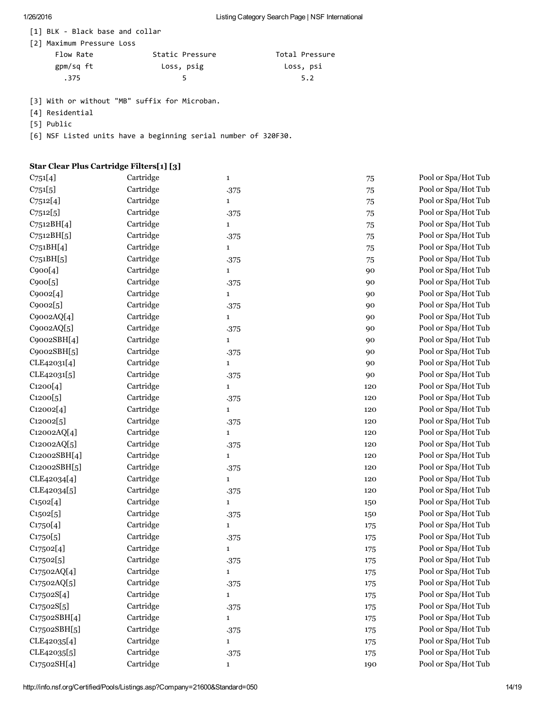[1] BLK ‐ Black base and collar

| [2] Maximum Pressure Loss |  |  |  |
|---------------------------|--|--|--|
|---------------------------|--|--|--|

| Flow Rate | Static Pressure | Total Pressure |
|-----------|-----------------|----------------|
| gpm/sq ft | Loss, psig      | Loss, psi      |
| . 375     |                 | 5.2            |

[3] With or without "MB" suffix for Microban.

- [4] Residential
- [5] Public

[6] NSF Listed units have a beginning serial number of 320F30.

### Star Clear Plus Cartridge Filters[1] [3]

| $C_{751}[4]$ | Cartridge | $\mathbf{1}$ | 75      | Pool or Spa/Hot Tub |
|--------------|-----------|--------------|---------|---------------------|
| $C_{751}[5]$ | Cartridge | .375         | 75      | Pool or Spa/Hot Tub |
| C7512[4]     | Cartridge | $\mathbf{1}$ | 75      | Pool or Spa/Hot Tub |
| C7512[5]     | Cartridge | .375         | 75      | Pool or Spa/Hot Tub |
| C7512BH[4]   | Cartridge | $\mathbf{1}$ | 75      | Pool or Spa/Hot Tub |
| C7512BH[5]   | Cartridge | .375         | 75      | Pool or Spa/Hot Tub |
| C751BH[4]    | Cartridge | $\mathbf{1}$ | 75      | Pool or Spa/Hot Tub |
| C751BH[5]    | Cartridge | .375         | 75      | Pool or Spa/Hot Tub |
| C900[4]      | Cartridge | $\mathbf{1}$ | 90      | Pool or Spa/Hot Tub |
| C900[5]      | Cartridge | .375         | 90      | Pool or Spa/Hot Tub |
| C9002[4]     | Cartridge | $\mathbf{1}$ | 90      | Pool or Spa/Hot Tub |
| C9002[5]     | Cartridge | .375         | 90      | Pool or Spa/Hot Tub |
| C9002AQ[4]   | Cartridge | $\mathbf{1}$ | 90      | Pool or Spa/Hot Tub |
| C9002AQ[5]   | Cartridge | .375         | 90      | Pool or Spa/Hot Tub |
| C9002SBH[4]  | Cartridge | $\mathbf{1}$ | 90      | Pool or Spa/Hot Tub |
| C9002SBH[5]  | Cartridge | .375         | 90      | Pool or Spa/Hot Tub |
| CLE42031[4]  | Cartridge | $\mathbf{1}$ | 90      | Pool or Spa/Hot Tub |
| CLE42031[5]  | Cartridge | .375         | 90      | Pool or Spa/Hot Tub |
| C1200[4]     | Cartridge | $\mathbf{1}$ | 120     | Pool or Spa/Hot Tub |
| C1200[5]     | Cartridge | .375         | 120     | Pool or Spa/Hot Tub |
| C12002[4]    | Cartridge | $\mathbf{1}$ | 120     | Pool or Spa/Hot Tub |
| C12002[5]    | Cartridge | .375         | 120     | Pool or Spa/Hot Tub |
| C12002AQ[4]  | Cartridge | $\mathbf{1}$ | 120     | Pool or Spa/Hot Tub |
| C12002AQ[5]  | Cartridge | .375         | 120     | Pool or Spa/Hot Tub |
| C12002SBH[4] | Cartridge | $\mathbf{1}$ | 120     | Pool or Spa/Hot Tub |
| C12002SBH[5] | Cartridge | .375         | 120     | Pool or Spa/Hot Tub |
| CLE42034[4]  | Cartridge | $\mathbf{1}$ | 120     | Pool or Spa/Hot Tub |
| CLE42034[5]  | Cartridge | .375         | 120     | Pool or Spa/Hot Tub |
| C1502[4]     | Cartridge | $\mathbf{1}$ | 150     | Pool or Spa/Hot Tub |
| C1502[5]     | Cartridge | .375         | 150     | Pool or Spa/Hot Tub |
| C1750[4]     | Cartridge | $\mathbf{1}$ | 175     | Pool or Spa/Hot Tub |
| C1750[5]     | Cartridge | .375         | 175     | Pool or Spa/Hot Tub |
| C17502[4]    | Cartridge | $\mathbf{1}$ | 175     | Pool or Spa/Hot Tub |
| C17502[5]    | Cartridge | .375         | 175     | Pool or Spa/Hot Tub |
| C17502AQ[4]  | Cartridge | 1            | $175\,$ | Pool or Spa/Hot Tub |
| C17502AQ[5]  | Cartridge | .375         | 175     | Pool or Spa/Hot Tub |
| C17502S[4]   | Cartridge | $\mathbf{1}$ | 175     | Pool or Spa/Hot Tub |
| C17502S[5]   | Cartridge | .375         | 175     | Pool or Spa/Hot Tub |
| C17502SBH[4] | Cartridge | $\mathbf{1}$ | 175     | Pool or Spa/Hot Tub |
| C17502SBH[5] | Cartridge | .375         | 175     | Pool or Spa/Hot Tub |
| CLE42035[4]  | Cartridge | $\mathbf{1}$ | 175     | Pool or Spa/Hot Tub |
| CLE42035[5]  | Cartridge | .375         | 175     | Pool or Spa/Hot Tub |
| C17502SH[4]  | Cartridge | $\mathbf{1}$ | 190     | Pool or Spa/Hot Tub |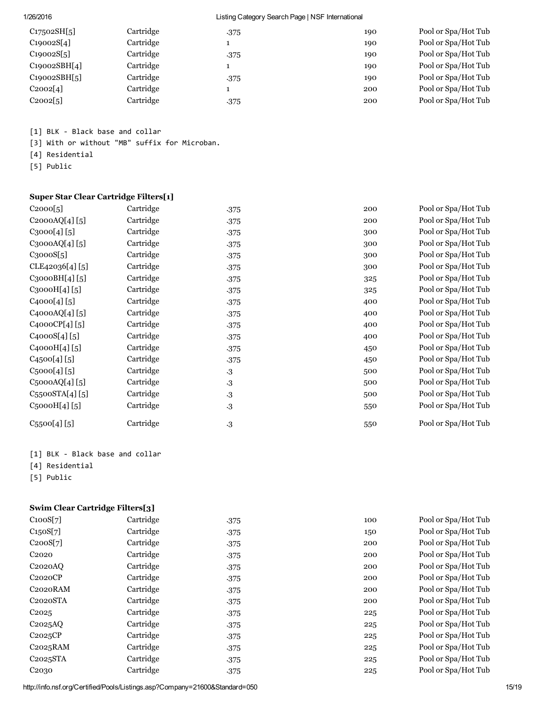| C17502SH[5]  | Cartridge | .375 | 190 | Pool or Spa/Hot Tub |
|--------------|-----------|------|-----|---------------------|
| C19002S[4]   | Cartridge |      | 190 | Pool or Spa/Hot Tub |
| C19002S[5]   | Cartridge | .375 | 190 | Pool or Spa/Hot Tub |
| C19002SBH[4] | Cartridge |      | 190 | Pool or Spa/Hot Tub |
| C19002SBH[5] | Cartridge | .375 | 190 | Pool or Spa/Hot Tub |
| C2002[4]     | Cartridge |      | 200 | Pool or Spa/Hot Tub |
| $C_{20025}$  | Cartridge | .375 | 200 | Pool or Spa/Hot Tub |

[1] BLK ‐ Black base and collar

[3] With or without "MB" suffix for Microban.

[4] Residential

[5] Public

#### Super Star Clear Cartridge Filters[1]

| C2000[5]                   | Cartridge | .375      | 200 | Pool or Spa/Hot Tub |
|----------------------------|-----------|-----------|-----|---------------------|
| C2000AQ[4][5]              | Cartridge | .375      | 200 | Pool or Spa/Hot Tub |
| C3000[4][5]                | Cartridge | .375      | 300 | Pool or Spa/Hot Tub |
| C3000AQ[4][5]              | Cartridge | .375      | 300 | Pool or Spa/Hot Tub |
| C <sub>3</sub> 000S[5]     | Cartridge | .375      | 300 | Pool or Spa/Hot Tub |
| CLE42036[4] [5]            | Cartridge | .375      | 300 | Pool or Spa/Hot Tub |
| C3000BH[4][5]              | Cartridge | .375      | 325 | Pool or Spa/Hot Tub |
| $C_{3}000H[4][5]$          | Cartridge | .375      | 325 | Pool or Spa/Hot Tub |
| C4000[4][5]                | Cartridge | .375      | 400 | Pool or Spa/Hot Tub |
| C4000AQ[4][5]              | Cartridge | .375      | 400 | Pool or Spa/Hot Tub |
| C4000CP[4][5]              | Cartridge | .375      | 400 | Pool or Spa/Hot Tub |
| C4000S[4][5]               | Cartridge | .375      | 400 | Pool or Spa/Hot Tub |
| C <sub>4</sub> 000H[4][5]  | Cartridge | .375      | 450 | Pool or Spa/Hot Tub |
| C4500[4][5]                | Cartridge | .375      | 450 | Pool or Spa/Hot Tub |
| $C_{5}000[4][5]$           | Cartridge | $\cdot 3$ | 500 | Pool or Spa/Hot Tub |
| $C_5$ 000AQ[4][5]          | Cartridge | $\cdot 3$ | 500 | Pool or Spa/Hot Tub |
| $C_{55}$ ooSTA $[4]$ $[5]$ | Cartridge | $\cdot 3$ | 500 | Pool or Spa/Hot Tub |
| C5000H[4][5]               | Cartridge | $\cdot$ 3 | 550 | Pool or Spa/Hot Tub |
| $C_{55}$ oo $[4]$ $[5]$    | Cartridge | $\cdot 3$ | 550 | Pool or Spa/Hot Tub |

- [1] BLK ‐ Black base and collar
- [4] Residential
- [5] Public

### Swim Clear Cartridge Filters[3]

| C100S[7]              | Cartridge | .375 |
|-----------------------|-----------|------|
| C150S[7]              | Cartridge | .375 |
| C200S[7]              | Cartridge | .375 |
| C <sub>2020</sub>     | Cartridge | .375 |
| C <sub>2020</sub> AO  | Cartridge | .375 |
| C2020CP               | Cartridge | .375 |
| C <sub>2020</sub> RAM | Cartridge | .375 |
| C <sub>2020</sub> STA | Cartridge | .375 |
| C <sub>2025</sub>     | Cartridge | .375 |
| C <sub>2025</sub> AO  | Cartridge | .375 |
| C2025CP               | Cartridge | .375 |
| $C2025$ RAM           | Cartridge | .375 |
| C <sub>2025</sub> STA | Cartridge | .375 |
| C <sub>20</sub> 30    | Cartridge | -375 |

100 Pool or Spa/Hot Tub 150 Pool or Spa/Hot Tub 200 Pool or Spa/Hot Tub 200 Pool or Spa/Hot Tub 200 Pool or Spa/Hot Tub 200 Pool or Spa/Hot Tub 200 Pool or Spa/Hot Tub 200 Pool or Spa/Hot Tub 225 Pool or Spa/Hot Tub 225 Pool or Spa/Hot Tub 225 Pool or Spa/Hot Tub 225 Pool or Spa/Hot Tub 225 Pool or Spa/Hot Tub 225 Pool or Spa/Hot Tub

http://info.nsf.org/Certified/Pools/Listings.asp?Company=21600&Standard=050 15/19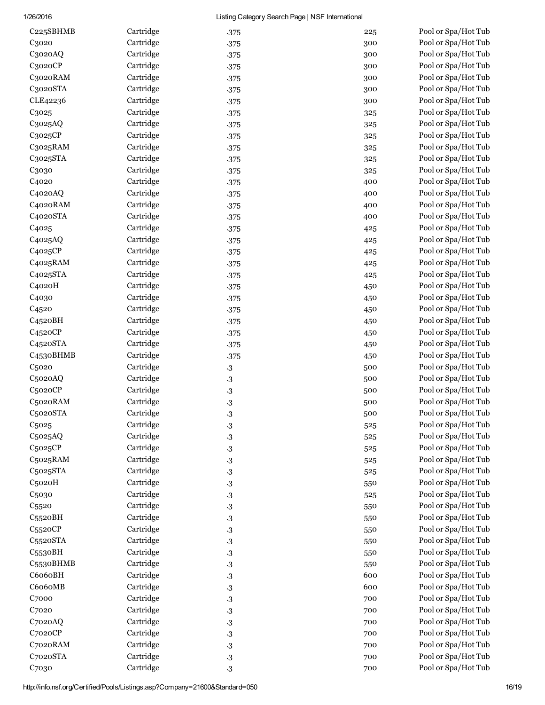| C225SBHMB                         | Cartridge | .375                   | 225 | Pool or Spa/Hot Tub |
|-----------------------------------|-----------|------------------------|-----|---------------------|
| C3020                             | Cartridge | .375                   | 300 | Pool or Spa/Hot Tub |
| C3020AQ                           | Cartridge | .375                   | 300 | Pool or Spa/Hot Tub |
| C3020CP                           | Cartridge | .375                   | 300 | Pool or Spa/Hot Tub |
| C3020RAM                          | Cartridge | .375                   | 300 | Pool or Spa/Hot Tub |
| C3020STA                          | Cartridge | .375                   | 300 | Pool or Spa/Hot Tub |
| CLE42236                          | Cartridge | .375                   | 300 | Pool or Spa/Hot Tub |
| C3025                             | Cartridge | .375                   | 325 | Pool or Spa/Hot Tub |
| C3025AQ                           | Cartridge | .375                   | 325 | Pool or Spa/Hot Tub |
| C3025CP                           | Cartridge | .375                   | 325 | Pool or Spa/Hot Tub |
| C3025RAM                          | Cartridge | .375                   | 325 | Pool or Spa/Hot Tub |
| C3025STA                          | Cartridge | .375                   | 325 | Pool or Spa/Hot Tub |
| C3030                             | Cartridge | .375                   | 325 | Pool or Spa/Hot Tub |
| C <sub>4020</sub>                 | Cartridge | .375                   | 400 | Pool or Spa/Hot Tub |
| C4020AQ                           | Cartridge | .375                   | 400 | Pool or Spa/Hot Tub |
| C4020RAM                          | Cartridge | .375                   | 400 | Pool or Spa/Hot Tub |
| C4020STA                          | Cartridge | .375                   | 400 | Pool or Spa/Hot Tub |
| C <sub>4025</sub>                 | Cartridge | .375                   | 425 | Pool or Spa/Hot Tub |
| C <sub>4</sub> 025AQ              | Cartridge | .375                   | 425 | Pool or Spa/Hot Tub |
| C <sub>4</sub> 02 <sub>5</sub> CP | Cartridge | .375                   | 425 | Pool or Spa/Hot Tub |
| C <sub>4025</sub> RAM             | Cartridge | .375                   | 425 | Pool or Spa/Hot Tub |
| C4025STA                          | Cartridge | .375                   | 425 | Pool or Spa/Hot Tub |
| C <sub>4020</sub> H               | Cartridge | .375                   | 450 | Pool or Spa/Hot Tub |
| C <sub>4030</sub>                 | Cartridge | .375                   | 450 | Pool or Spa/Hot Tub |
| C <sub>4520</sub>                 | Cartridge | .375                   | 450 | Pool or Spa/Hot Tub |
| C4520BH                           | Cartridge | .375                   | 450 | Pool or Spa/Hot Tub |
| C <sub>452</sub> oCP              | Cartridge | .375                   | 450 | Pool or Spa/Hot Tub |
| C <sub>452</sub> oSTA             | Cartridge | .375                   | 450 | Pool or Spa/Hot Tub |
| C <sub>453</sub> oBHMB            | Cartridge | .375                   | 450 | Pool or Spa/Hot Tub |
| C <sub>5020</sub>                 | Cartridge | $\cdot 3$              | 500 | Pool or Spa/Hot Tub |
| C5020AQ                           | Cartridge | $\cdot 3$              | 500 | Pool or Spa/Hot Tub |
| C5020CP                           | Cartridge | $\cdot 3$              | 500 | Pool or Spa/Hot Tub |
| C5020RAM                          | Cartridge | $\cdot$ 3              | 500 | Pool or Spa/Hot Tub |
| C5020STA                          | Cartridge | $\cdot$ 3              | 500 | Pool or Spa/Hot Tub |
| C <sub>5025</sub>                 | Cartridge | $\cdot$ 3              | 525 | Pool or Spa/Hot Tub |
| C5025AQ                           | Cartridge | $\cdot 3$              | 525 | Pool or Spa/Hot Tub |
| C5025CP                           | Cartridge | $\cdot 3$              | 525 | Pool or Spa/Hot Tub |
| C5025RAM                          | Cartridge | $\cdot 3$              | 525 | Pool or Spa/Hot Tub |
| C5025STA                          | Cartridge | $\cdot 3$              | 525 | Pool or Spa/Hot Tub |
| C <sub>5020H</sub>                | Cartridge | $\cdot 3$              | 550 | Pool or Spa/Hot Tub |
| C <sub>5030</sub>                 | Cartridge | $\cdot 3$              | 525 | Pool or Spa/Hot Tub |
| C <sub>5520</sub>                 | Cartridge | $\cdot 3$              | 550 | Pool or Spa/Hot Tub |
| C <sub>552</sub> oBH              | Cartridge | $\cdot 3$              | 550 | Pool or Spa/Hot Tub |
| C5520CP                           | Cartridge | $\cdot 3$              | 550 | Pool or Spa/Hot Tub |
| C5520STA                          | Cartridge | $\cdot 3$              | 550 | Pool or Spa/Hot Tub |
| C <sub>553</sub> oBH              | Cartridge | $\cdot 3$              | 550 | Pool or Spa/Hot Tub |
| C5530BHMB                         | Cartridge |                        | 550 | Pool or Spa/Hot Tub |
| C6060BH                           | Cartridge | $\cdot 3$<br>$\cdot 3$ | 600 | Pool or Spa/Hot Tub |
| C6060MB                           | Cartridge |                        | 600 | Pool or Spa/Hot Tub |
|                                   | Cartridge | $\cdot 3$              |     | Pool or Spa/Hot Tub |
| C7000<br>C <sub>7020</sub>        | Cartridge | $\cdot 3$              | 700 | Pool or Spa/Hot Tub |
|                                   | Cartridge | $\cdot 3$              | 700 |                     |
| $C$ 7020 $AQ$                     |           | $\cdot 3$              | 700 | Pool or Spa/Hot Tub |
| C7020CP                           | Cartridge | $\cdot 3$              | 700 | Pool or Spa/Hot Tub |
| C7020RAM                          | Cartridge | $\cdot 3$              | 700 | Pool or Spa/Hot Tub |
| C7020STA                          | Cartridge | $\cdot 3$              | 700 | Pool or Spa/Hot Tub |
| C7030                             | Cartridge | $\cdot 3$              | 700 | Pool or Spa/Hot Tub |

Pool or Spa/Hot Tub Pool or Spa/Hot Tub Pool or Spa/Hot Tub Pool or Spa/Hot Tub Pool or Spa/Hot Tub Pool or Spa/Hot Tub Pool or Spa/Hot Tub Pool or Spa/Hot Tub Pool or Spa/Hot Tub Pool or Spa/Hot Tub Pool or Spa/Hot Tub Pool or Spa/Hot Tub Pool or Spa/Hot Tub Pool or Spa/Hot Tub Pool or Spa/Hot Tub Pool or Spa/Hot Tub Pool or Spa/Hot Tub Pool or Spa/Hot Tub Pool or Spa/Hot Tub Pool or Spa/Hot Tub Pool or Spa/Hot Tub Pool or Spa/Hot Tub Pool or Spa/Hot Tub Pool or Spa/Hot Tub Pool or Spa/Hot Tub Pool or Spa/Hot Tub Pool or Spa/Hot Tub Pool or Spa/Hot Tub Pool or Spa/Hot Tub Pool or Spa/Hot Tub Pool or Spa/Hot Tub Pool or Spa/Hot Tub Pool or Spa/Hot Tub Pool or Spa/Hot Tub Pool or Spa/Hot Tub Pool or Spa/Hot Tub Pool or Spa/Hot Tub Pool or Spa/Hot Tub Pool or Spa/Hot Tub Pool or Spa/Hot Tub Pool or Spa/Hot Tub Pool or Spa/Hot Tub Pool or Spa/Hot Tub Pool or Spa/Hot Tub Pool or Spa/Hot Tub Pool or Spa/Hot Tub Pool or Spa/Hot Tub Pool or Spa/Hot Tub Pool or Spa/Hot Tub Pool or Spa/Hot Tub Pool or Spa/Hot Tub Pool or Spa/Hot Tub Pool or Spa/Hot Tub Pool or Spa/Hot Tub

Pool or Spa/Hot Tub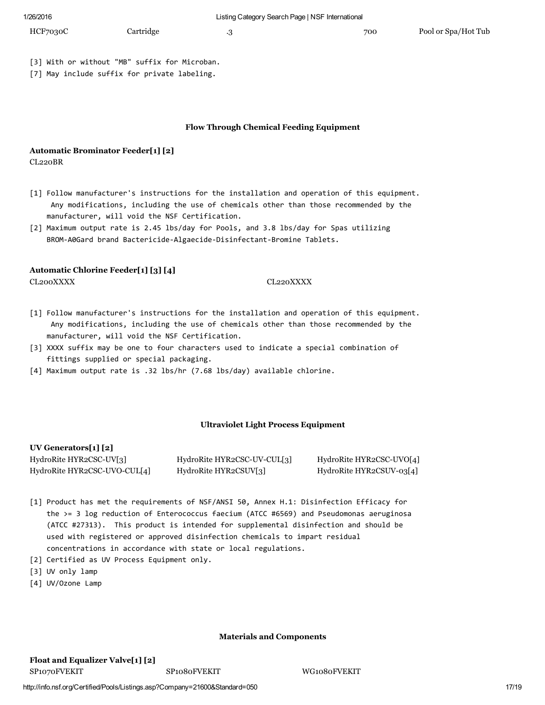| HCF7030C | Cartridge | 700 | Pool or Spa/Hot Tub |
|----------|-----------|-----|---------------------|
|          |           |     |                     |

[3] With or without "MB" suffix for Microban.

[7] May include suffix for private labeling.

#### Flow Through Chemical Feeding Equipment

### Automatic Brominator Feeder[1] [2]

CL220BR

- [1] Follow manufacturer's instructions for the installation and operation of this equipment. Any modifications, including the use of chemicals other than those recommended by the manufacturer, will void the NSF Certification.
- [2] Maximum output rate is 2.45 lbs/day for Pools, and 3.8 lbs/day for Spas utilizing BROM‐A0Gard brand Bactericide‐Algaecide‐Disinfectant‐Bromine Tablets.

#### Automatic Chlorine Feeder[1] [3] [4]

#### CL200XXXX CL220XXXX

- [1] Follow manufacturer's instructions for the installation and operation of this equipment. Any modifications, including the use of chemicals other than those recommended by the manufacturer, will void the NSF Certification.
- [3] XXXX suffix may be one to four characters used to indicate a special combination of fittings supplied or special packaging.
- [4] Maximum output rate is .32 lbs/hr (7.68 lbs/day) available chlorine.

#### Ultraviolet Light Process Equipment

#### UV Generators[1] [2]

| _________________            |                             |                          |
|------------------------------|-----------------------------|--------------------------|
| HydroRite HYR2CSC-UV[3]      | HydroRite HYR2CSC-UV-CUL[3] | HydroRite HYR2CSC-UVO[4] |
| HydroRite HYR2CSC-UVO-CUL[4] | HydroRite HYR2CSUV[3]       | HydroRite HYR2CSUV-03[4] |

- [1] Product has met the requirements of NSF/ANSI 50, Annex H.1: Disinfection Efficacy for the >= 3 log reduction of Enterococcus faecium (ATCC #6569) and Pseudomonas aeruginosa (ATCC #27313). This product is intended for supplemental disinfection and should be used with registered or approved disinfection chemicals to impart residual concentrations in accordance with state or local regulations.
- [2] Certified as UV Process Equipment only.
- [3] UV only lamp
- [4] UV/Ozone Lamp

#### Materials and Components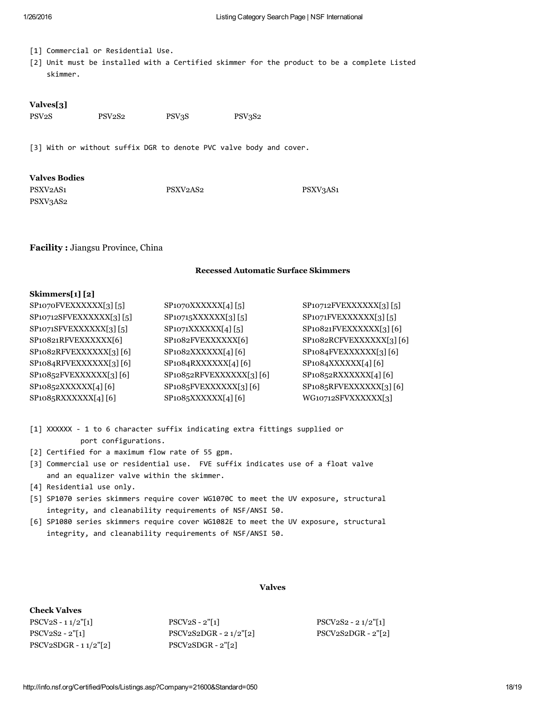- [1] Commercial or Residential Use.
- [2] Unit must be installed with a Certified skimmer for the product to be a complete Listed skimmer.

#### Valves[3]

PSV2S PSV2S2 PSV3S2 PSV3S2

[3] With or without suffix DGR to denote PVC valve body and cover.

### Valves Bodies

PSXV3AS2

PSXV2AS1 PSXV2AS2 PSXV2AS2

Facility : Jiangsu Province, China

#### Recessed Automatic Surface Skimmers

#### Skimmers[1] [2]

| SP1070FVEXXXXXX[3][5]               | SP1070XXXXXX[4][5]      | $SP10712$ FVEXXXXXX[3][5]          |
|-------------------------------------|-------------------------|------------------------------------|
| SP10712SFVEXXXXXX[3][5]             | SP10715XXXXX[3][5]      | SP1071FVEXXXXXX[3][5]              |
| SP1071SFVEXXXXXX[3][5]              | SP1071XXXXX[4][5]       | SP10821FVEXXXXXX[3][6]             |
| SP10821RFVEXXXXXX[6]                | SP1082FVEXXXXXX[6]      | SP1082RCFVEXXXXXX[3][6]            |
| SP <sub>1082</sub> RFVEXXXXXX[3][6] | $SP1082XXXXXI4$ [6]     | SP <sub>1084</sub> FVEXXXXXX[3][6] |
| SP1084RFVEXXXXXX[3][6]              | SP1084RXXXXXX[4][6]     | SP1084XXXXXX[4][6]                 |
| SP10852FVEXXXXXX[3][6]              | SP10852RFVEXXXXXX[3][6] | SP10852RXXXXXX[4][6]               |
| SP10852XXXXX[4][6]                  | SP1085FVEXXXXXX[3][6]   | SP1085RFVEXXXXXX[3][6]             |
| SP1085RXXXXXX[4][6]                 | SP1085XXXXX[4][6]       | WG10712SFVXXXXXX[3]                |

- [1] XXXXXX ‐ 1 to 6 character suffix indicating extra fittings supplied or port configurations.
- [2] Certified for a maximum flow rate of 55 gpm.
- [3] Commercial use or residential use. FVE suffix indicates use of a float valve and an equalizer valve within the skimmer.
- [4] Residential use only.
- [5] SP1070 series skimmers require cover WG1070C to meet the UV exposure, structural integrity, and cleanability requirements of NSF/ANSI 50.
- [6] SP1080 series skimmers require cover WG1082E to meet the UV exposure, structural integrity, and cleanability requirements of NSF/ANSI 50.

#### Valves

#### Check Valves

| $PSCV2S - 11/2" [1]$    | $PSCV2S - 2"[1]$         | $PSCV2S2 - 21/2"$ [1] |
|-------------------------|--------------------------|-----------------------|
| $PSCV2S2 - 2"[1]$       | $PSCV2S2DGR - 21/2" [2]$ | $PSCV2S2DGR - 2"2]$   |
| $PSCV2SDGR - 11/2" [2]$ | $PSCV2SDGR - 2"2]$       |                       |